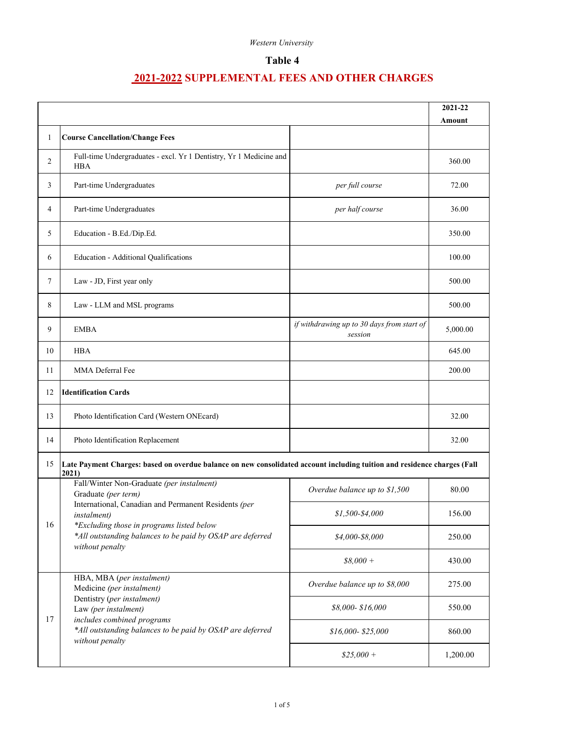# **Table 4**

|    |                                                                                                                                                                                                                            |                                                       | 2021-22  |
|----|----------------------------------------------------------------------------------------------------------------------------------------------------------------------------------------------------------------------------|-------------------------------------------------------|----------|
| 1  | <b>Course Cancellation/Change Fees</b>                                                                                                                                                                                     |                                                       | Amount   |
|    |                                                                                                                                                                                                                            |                                                       |          |
| 2  | Full-time Undergraduates - excl. Yr 1 Dentistry, Yr 1 Medicine and<br><b>HBA</b>                                                                                                                                           |                                                       | 360.00   |
| 3  | Part-time Undergraduates                                                                                                                                                                                                   | per full course                                       | 72.00    |
| 4  | Part-time Undergraduates                                                                                                                                                                                                   | per half course                                       | 36.00    |
| 5  | Education - B.Ed./Dip.Ed.                                                                                                                                                                                                  |                                                       | 350.00   |
| 6  | Education - Additional Qualifications                                                                                                                                                                                      |                                                       | 100.00   |
| 7  | Law - JD, First year only                                                                                                                                                                                                  |                                                       | 500.00   |
| 8  | Law - LLM and MSL programs                                                                                                                                                                                                 |                                                       | 500.00   |
| 9  | <b>EMBA</b>                                                                                                                                                                                                                | if withdrawing up to 30 days from start of<br>session | 5,000.00 |
| 10 | <b>HBA</b>                                                                                                                                                                                                                 |                                                       | 645.00   |
| 11 | MMA Deferral Fee                                                                                                                                                                                                           |                                                       | 200.00   |
| 12 | <b>Identification Cards</b>                                                                                                                                                                                                |                                                       |          |
| 13 | Photo Identification Card (Western ONEcard)                                                                                                                                                                                |                                                       | 32.00    |
| 14 | Photo Identification Replacement                                                                                                                                                                                           |                                                       | 32.00    |
| 15 | Late Payment Charges: based on overdue balance on new consolidated account including tuition and residence charges (Fall<br>2021)                                                                                          |                                                       |          |
|    | Fall/Winter Non-Graduate (per instalment)<br>Graduate (per term)<br>International, Canadian and Permanent Residents (per<br><i>instalment</i> )                                                                            | Overdue balance up to \$1,500                         | 80.00    |
| 16 |                                                                                                                                                                                                                            | $$1,500-$4,000$                                       | 156.00   |
|    | *Excluding those in programs listed below<br>*All outstanding balances to be paid by OSAP are deferred<br>without penalty                                                                                                  | $$4,000$ - $8,000$                                    | 250.00   |
|    |                                                                                                                                                                                                                            | $$8,000 +$                                            | 430.00   |
|    | HBA, MBA (per instalment)<br>Medicine (per instalment)<br>Dentistry (per instalment)<br>Law (per instalment)<br>includes combined programs<br>*All outstanding balances to be paid by OSAP are deferred<br>without penalty | Overdue balance up to \$8,000                         | 275.00   |
| 17 |                                                                                                                                                                                                                            | \$8,000-\$16,000                                      | 550.00   |
|    |                                                                                                                                                                                                                            | $$16,000 - $25,000$                                   | 860.00   |
|    |                                                                                                                                                                                                                            | $$25,000+$                                            | 1,200.00 |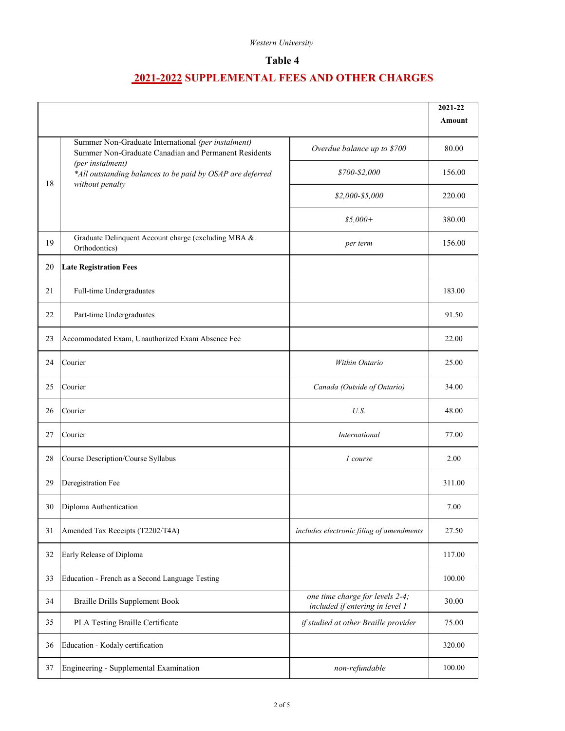# **Table 4**

|    |                                                                                                            |                                                                    | 2021-22 |
|----|------------------------------------------------------------------------------------------------------------|--------------------------------------------------------------------|---------|
|    |                                                                                                            |                                                                    | Amount  |
|    | Summer Non-Graduate International (per instalment)<br>Summer Non-Graduate Canadian and Permanent Residents | Overdue balance up to \$700                                        | 80.00   |
| 18 | (per instalment)<br>*All outstanding balances to be paid by OSAP are deferred<br>without penalty           | \$700-\$2,000                                                      | 156.00  |
|    |                                                                                                            | $$2,000 - $5,000$                                                  | 220.00  |
|    |                                                                                                            | $$5,000+$                                                          | 380.00  |
| 19 | Graduate Delinquent Account charge (excluding MBA &<br>Orthodontics)                                       | per term                                                           | 156.00  |
| 20 | <b>Late Registration Fees</b>                                                                              |                                                                    |         |
| 21 | Full-time Undergraduates                                                                                   |                                                                    | 183.00  |
| 22 | Part-time Undergraduates                                                                                   |                                                                    | 91.50   |
| 23 | Accommodated Exam, Unauthorized Exam Absence Fee                                                           |                                                                    | 22.00   |
| 24 | Courier                                                                                                    | Within Ontario                                                     | 25.00   |
| 25 | Courier                                                                                                    | Canada (Outside of Ontario)                                        | 34.00   |
| 26 | Courier                                                                                                    | U.S.                                                               | 48.00   |
| 27 | Courier                                                                                                    | International                                                      | 77.00   |
| 28 | Course Description/Course Syllabus                                                                         | 1 course                                                           | 2.00    |
| 29 | Deregistration Fee                                                                                         |                                                                    | 311.00  |
| 30 | Diploma Authentication                                                                                     |                                                                    | 7.00    |
| 31 | Amended Tax Receipts (T2202/T4A)                                                                           | includes electronic filing of amendments                           | 27.50   |
| 32 | Early Release of Diploma                                                                                   |                                                                    | 117.00  |
| 33 | Education - French as a Second Language Testing                                                            |                                                                    | 100.00  |
| 34 | <b>Braille Drills Supplement Book</b>                                                                      | one time charge for levels 2-4;<br>included if entering in level 1 | 30.00   |
| 35 | PLA Testing Braille Certificate                                                                            | if studied at other Braille provider                               | 75.00   |
| 36 | Education - Kodaly certification                                                                           |                                                                    | 320.00  |
| 37 | Engineering - Supplemental Examination                                                                     | non-refundable                                                     | 100.00  |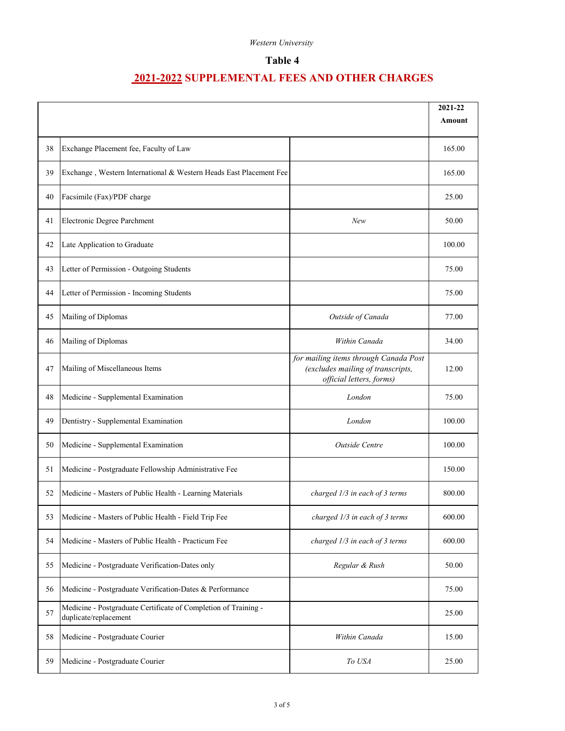# **Table 4**

|    |                                                                                          |                                                                                                        | 2021-22<br><b>Amount</b> |
|----|------------------------------------------------------------------------------------------|--------------------------------------------------------------------------------------------------------|--------------------------|
|    |                                                                                          |                                                                                                        |                          |
| 38 | Exchange Placement fee, Faculty of Law                                                   |                                                                                                        | 165.00                   |
| 39 | Exchange, Western International & Western Heads East Placement Fee                       |                                                                                                        | 165.00                   |
| 40 | Facsimile (Fax)/PDF charge                                                               |                                                                                                        | 25.00                    |
| 41 | Electronic Degree Parchment                                                              | New                                                                                                    | 50.00                    |
| 42 | Late Application to Graduate                                                             |                                                                                                        | 100.00                   |
| 43 | Letter of Permission - Outgoing Students                                                 |                                                                                                        | 75.00                    |
| 44 | Letter of Permission - Incoming Students                                                 |                                                                                                        | 75.00                    |
| 45 | Mailing of Diplomas                                                                      | Outside of Canada                                                                                      | 77.00                    |
| 46 | Mailing of Diplomas                                                                      | Within Canada                                                                                          | 34.00                    |
| 47 | Mailing of Miscellaneous Items                                                           | for mailing items through Canada Post<br>(excludes mailing of transcripts,<br>official letters, forms) | 12.00                    |
| 48 | Medicine - Supplemental Examination                                                      | London                                                                                                 | 75.00                    |
| 49 | Dentistry - Supplemental Examination                                                     | London                                                                                                 | 100.00                   |
| 50 | Medicine - Supplemental Examination                                                      | Outside Centre                                                                                         | 100.00                   |
| 51 | Medicine - Postgraduate Fellowship Administrative Fee                                    |                                                                                                        | 150.00                   |
| 52 | Medicine - Masters of Public Health - Learning Materials                                 | charged 1/3 in each of 3 terms                                                                         | 800.00                   |
| 53 | Medicine - Masters of Public Health - Field Trip Fee                                     | charged 1/3 in each of 3 terms                                                                         | 600.00                   |
| 54 | Medicine - Masters of Public Health - Practicum Fee                                      | charged 1/3 in each of 3 terms                                                                         | 600.00                   |
| 55 | Medicine - Postgraduate Verification-Dates only                                          | Regular & Rush                                                                                         | 50.00                    |
| 56 | Medicine - Postgraduate Verification-Dates & Performance                                 |                                                                                                        | 75.00                    |
| 57 | Medicine - Postgraduate Certificate of Completion of Training -<br>duplicate/replacement |                                                                                                        | 25.00                    |
| 58 | Medicine - Postgraduate Courier                                                          | Within Canada                                                                                          | 15.00                    |
| 59 | Medicine - Postgraduate Courier                                                          | To USA                                                                                                 | 25.00                    |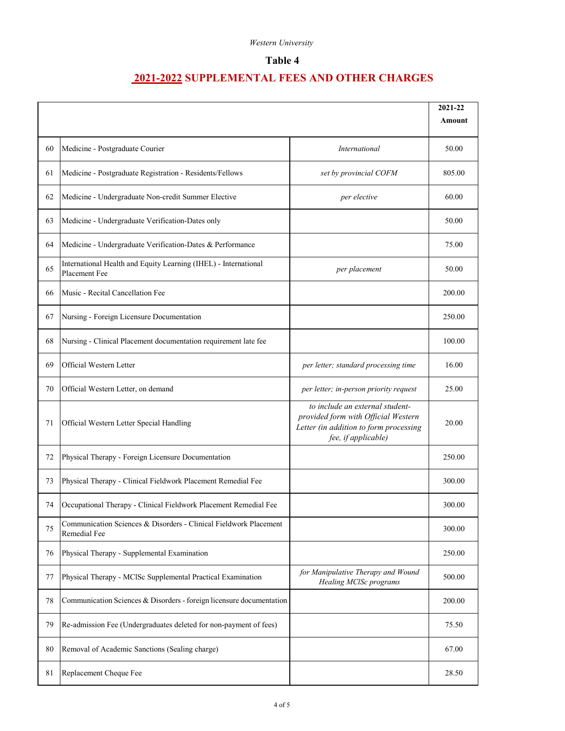## **Table 4**

|    |                                                                                   |                                                                                                                                         | 2021-22 |
|----|-----------------------------------------------------------------------------------|-----------------------------------------------------------------------------------------------------------------------------------------|---------|
|    |                                                                                   |                                                                                                                                         | Amount  |
| 60 | Medicine - Postgraduate Courier                                                   | International                                                                                                                           | 50.00   |
| 61 | Medicine - Postgraduate Registration - Residents/Fellows                          | set by provincial COFM                                                                                                                  | 805.00  |
| 62 | Medicine - Undergraduate Non-credit Summer Elective                               | per elective                                                                                                                            | 60.00   |
| 63 | Medicine - Undergraduate Verification-Dates only                                  |                                                                                                                                         | 50.00   |
| 64 | Medicine - Undergraduate Verification-Dates & Performance                         |                                                                                                                                         | 75.00   |
| 65 | International Health and Equity Learning (IHEL) - International<br>Placement Fee  | per placement                                                                                                                           | 50.00   |
| 66 | Music - Recital Cancellation Fee                                                  |                                                                                                                                         | 200.00  |
| 67 | Nursing - Foreign Licensure Documentation                                         |                                                                                                                                         | 250.00  |
| 68 | Nursing - Clinical Placement documentation requirement late fee                   |                                                                                                                                         | 100.00  |
| 69 | Official Western Letter                                                           | per letter; standard processing time                                                                                                    | 16.00   |
| 70 | Official Western Letter, on demand                                                | per letter; in-person priority request                                                                                                  | 25.00   |
| 71 | Official Western Letter Special Handling                                          | to include an external student-<br>provided form with Official Western<br>Letter (in addition to form processing<br>fee, if applicable) | 20.00   |
| 72 | Physical Therapy - Foreign Licensure Documentation                                |                                                                                                                                         | 250.00  |
| 73 | Physical Therapy - Clinical Fieldwork Placement Remedial Fee                      |                                                                                                                                         | 300.00  |
| 74 | Occupational Therapy - Clinical Fieldwork Placement Remedial Fee                  |                                                                                                                                         | 300.00  |
| 75 | Communication Sciences & Disorders - Clinical Fieldwork Placement<br>Remedial Fee |                                                                                                                                         | 300.00  |
| 76 | Physical Therapy - Supplemental Examination                                       |                                                                                                                                         | 250.00  |
| 77 | Physical Therapy - MCISc Supplemental Practical Examination                       | for Manipulative Therapy and Wound<br>Healing MClSc programs                                                                            | 500.00  |
| 78 | Communication Sciences & Disorders - foreign licensure documentation              |                                                                                                                                         | 200.00  |
| 79 | Re-admission Fee (Undergraduates deleted for non-payment of fees)                 |                                                                                                                                         | 75.50   |
| 80 | Removal of Academic Sanctions (Sealing charge)                                    |                                                                                                                                         | 67.00   |
| 81 | Replacement Cheque Fee                                                            |                                                                                                                                         | 28.50   |